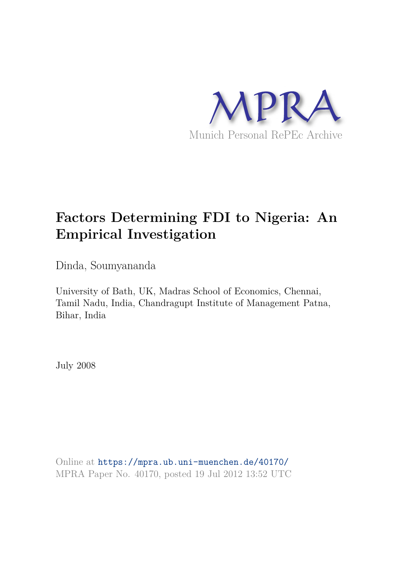

# **Factors Determining FDI to Nigeria: An Empirical Investigation**

Dinda, Soumyananda

University of Bath, UK, Madras School of Economics, Chennai, Tamil Nadu, India, Chandragupt Institute of Management Patna, Bihar, India

July 2008

Online at https://mpra.ub.uni-muenchen.de/40170/ MPRA Paper No. 40170, posted 19 Jul 2012 13:52 UTC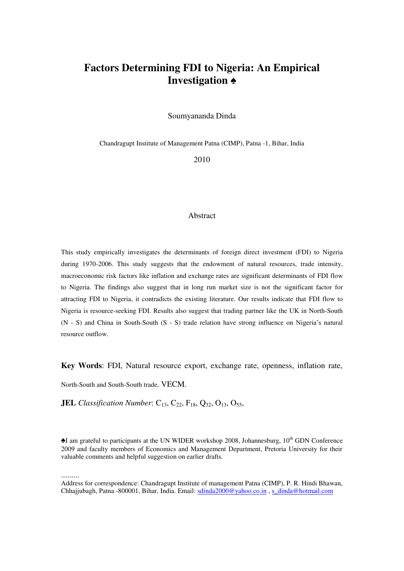## **Factors Determining FDI to Nigeria: An Empirical Investigation ♠**

Soumyananda Dinda

Chandragupt Institute of Management Patna (CIMP), Patna -1, Bihar, India

2010

#### Abstract

This study empirically investigates the determinants of foreign direct investment (FDI) to Nigeria during 1970-2006. This study suggests that the endowment of natural resources, trade intensity, macroeconomic risk factors like inflation and exchange rates are significant determinants of FDI flow to Nigeria. The findings also suggest that in long run market size is not the significant factor for attracting FDI to Nigeria, it contradicts the existing literature. Our results indicate that FDI flow to Nigeria is resource-seeking FDI. Results also suggest that trading partner like the UK in North-South (N - S) and China in South-South (S - S) trade relation have strong influence on Nigeria's natural resource outflow.

**Key Words**: FDI, Natural resource export, exchange rate, openness, inflation rate,

North-South and South-South trade, VECM.

**JEL** *Classification Number*:  $C_{13}$ ,  $C_{22}$ ,  $F_{18}$ ,  $Q_{32}$ ,  $O_{13}$ ,  $O_{55}$ ,

 $\triangleq$ I am grateful to participants at the UN WIDER workshop 2008, Johannesburg, 10<sup>th</sup> GDN Conference 2009 and faculty members of Economics and Management Department, Pretoria University for their valuable comments and helpful suggestion on earlier drafts.

.........

Address for correspondence: Chandragupt Institute of management Patna (CIMP), P. R. Hindi Bhawan, Chhajjubagh, Patna -800001, Bihar, India. Email: [sdinda2000@yahoo.co.in](mailto:sdinda2000@yahoo.co.in), s\_dinda@hotmail.com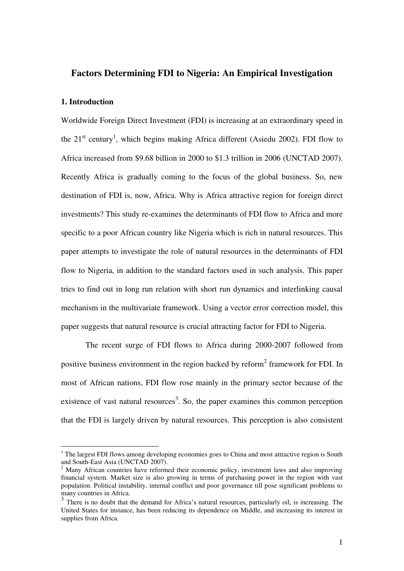#### **Factors Determining FDI to Nigeria: An Empirical Investigation**

#### **1. Introduction**

Worldwide Foreign Direct Investment (FDI) is increasing at an extraordinary speed in the  $21<sup>st</sup>$  century<sup>1</sup>, which begins making Africa different (Asiedu 2002). FDI flow to Africa increased from \$9.68 billion in 2000 to \$1.3 trillion in 2006 (UNCTAD 2007). Recently Africa is gradually coming to the focus of the global business. So, new destination of FDI is, now, Africa. Why is Africa attractive region for foreign direct investments? This study re-examines the determinants of FDI flow to Africa and more specific to a poor African country like Nigeria which is rich in natural resources. This paper attempts to investigate the role of natural resources in the determinants of FDI flow to Nigeria, in addition to the standard factors used in such analysis. This paper tries to find out in long run relation with short run dynamics and interlinking causal mechanism in the multivariate framework. Using a vector error correction model, this paper suggests that natural resource is crucial attracting factor for FDI to Nigeria.

The recent surge of FDI flows to Africa during 2000-2007 followed from positive business environment in the region backed by reform<sup>2</sup> framework for FDI. In most of African nations, FDI flow rose mainly in the primary sector because of the existence of vast natural resources<sup>3</sup>. So, the paper examines this common perception that the FDI is largely driven by natural resources. This perception is also consistent

The largest FDI flows among developing economies goes to China and most attractive region is South<br><sup>1</sup> The largest FDI flows among developing economies goes to China and most attractive region is South and South-East Asia (UNCTAD 2007).

<sup>&</sup>lt;sup>2</sup> Many African countries have reformed their economic policy, investment laws and also improving financial system. Market size is also growing in terms of purchasing power in the region with vast population. Political instability, internal conflict and poor governance till pose significant problems to many countries in Africa.

<sup>&</sup>lt;sup>3</sup> There is no doubt that the demand for Africa's natural resources, particularly oil, is increasing. The United States for instance, has been reducing its dependence on Middle, and increasing its interest in supplies from Africa.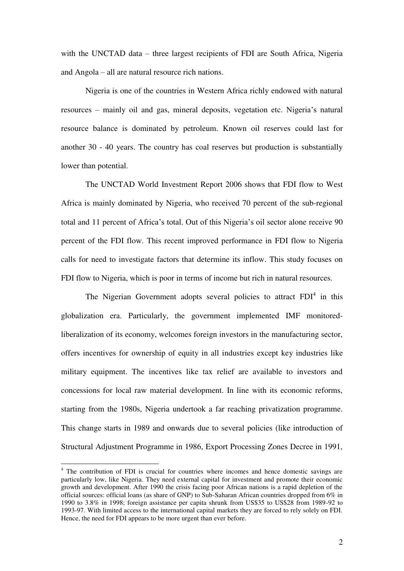with the UNCTAD data – three largest recipients of FDI are South Africa, Nigeria and Angola – all are natural resource rich nations.

Nigeria is one of the countries in Western Africa richly endowed with natural resources – mainly oil and gas, mineral deposits, vegetation etc. Nigeria's natural resource balance is dominated by petroleum. Known oil reserves could last for another 30 - 40 years. The country has coal reserves but production is substantially lower than potential.

The UNCTAD World Investment Report 2006 shows that FDI flow to West Africa is mainly dominated by Nigeria, who received 70 percent of the sub-regional total and 11 percent of Africa's total. Out of this Nigeria's oil sector alone receive 90 percent of the FDI flow. This recent improved performance in FDI flow to Nigeria calls for need to investigate factors that determine its inflow. This study focuses on FDI flow to Nigeria, which is poor in terms of income but rich in natural resources.

The Nigerian Government adopts several policies to attract  $FDI<sup>4</sup>$  in this globalization era. Particularly, the government implemented IMF monitoredliberalization of its economy, welcomes foreign investors in the manufacturing sector, offers incentives for ownership of equity in all industries except key industries like military equipment. The incentives like tax relief are available to investors and concessions for local raw material development. In line with its economic reforms, starting from the 1980s, Nigeria undertook a far reaching privatization programme. This change starts in 1989 and onwards due to several policies (like introduction of Structural Adjustment Programme in 1986, Export Processing Zones Decree in 1991,

<u>.</u>

<sup>&</sup>lt;sup>4</sup> The contribution of FDI is crucial for countries where incomes and hence domestic savings are particularly low, like Nigeria. They need external capital for investment and promote their economic growth and development. After 1990 the crisis facing poor African nations is a rapid depletion of the official sources: official loans (as share of GNP) to Sub-Saharan African countries dropped from 6% in 1990 to 3.8% in 1998; foreign assistance per capita shrunk from US\$35 to US\$28 from 1989-92 to 1993-97. With limited access to the international capital markets they are forced to rely solely on FDI. Hence, the need for FDI appears to be more urgent than ever before.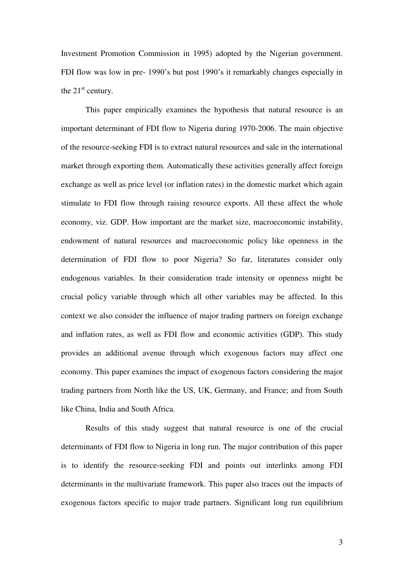Investment Promotion Commission in 1995) adopted by the Nigerian government. FDI flow was low in pre- 1990's but post 1990's it remarkably changes especially in the  $21<sup>st</sup>$  century.

This paper empirically examines the hypothesis that natural resource is an important determinant of FDI flow to Nigeria during 1970-2006. The main objective of the resource-seeking FDI is to extract natural resources and sale in the international market through exporting them. Automatically these activities generally affect foreign exchange as well as price level (or inflation rates) in the domestic market which again stimulate to FDI flow through raising resource exports. All these affect the whole economy, viz. GDP. How important are the market size, macroeconomic instability, endowment of natural resources and macroeconomic policy like openness in the determination of FDI flow to poor Nigeria? So far, literatures consider only endogenous variables. In their consideration trade intensity or openness might be crucial policy variable through which all other variables may be affected. In this context we also consider the influence of major trading partners on foreign exchange and inflation rates, as well as FDI flow and economic activities (GDP). This study provides an additional avenue through which exogenous factors may affect one economy. This paper examines the impact of exogenous factors considering the major trading partners from North like the US, UK, Germany, and France; and from South like China, India and South Africa.

Results of this study suggest that natural resource is one of the crucial determinants of FDI flow to Nigeria in long run. The major contribution of this paper is to identify the resource-seeking FDI and points out interlinks among FDI determinants in the multivariate framework. This paper also traces out the impacts of exogenous factors specific to major trade partners. Significant long run equilibrium

3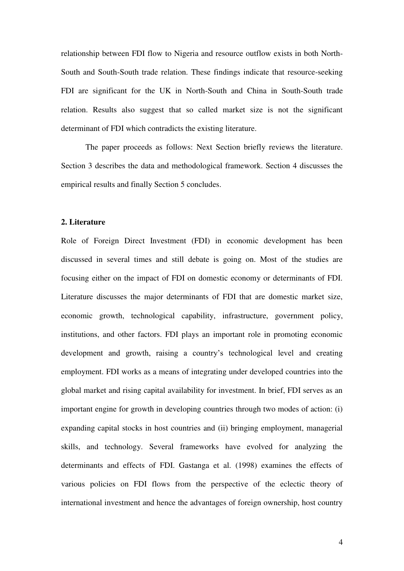relationship between FDI flow to Nigeria and resource outflow exists in both North-South and South-South trade relation. These findings indicate that resource-seeking FDI are significant for the UK in North-South and China in South-South trade relation. Results also suggest that so called market size is not the significant determinant of FDI which contradicts the existing literature.

The paper proceeds as follows: Next Section briefly reviews the literature. Section 3 describes the data and methodological framework. Section 4 discusses the empirical results and finally Section 5 concludes.

#### **2. Literature**

Role of Foreign Direct Investment (FDI) in economic development has been discussed in several times and still debate is going on. Most of the studies are focusing either on the impact of FDI on domestic economy or determinants of FDI. Literature discusses the major determinants of FDI that are domestic market size, economic growth, technological capability, infrastructure, government policy, institutions, and other factors. FDI plays an important role in promoting economic development and growth, raising a country's technological level and creating employment. FDI works as a means of integrating under developed countries into the global market and rising capital availability for investment. In brief, FDI serves as an important engine for growth in developing countries through two modes of action: (i) expanding capital stocks in host countries and (ii) bringing employment, managerial skills, and technology. Several frameworks have evolved for analyzing the determinants and effects of FDI. Gastanga et al. (1998) examines the effects of various policies on FDI flows from the perspective of the eclectic theory of international investment and hence the advantages of foreign ownership, host country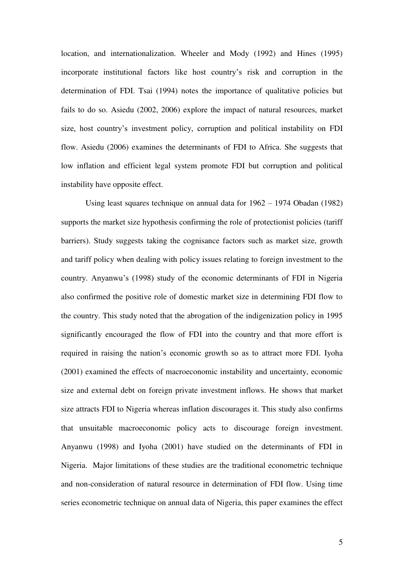location, and internationalization. Wheeler and Mody (1992) and Hines (1995) incorporate institutional factors like host country's risk and corruption in the determination of FDI. Tsai (1994) notes the importance of qualitative policies but fails to do so. Asiedu (2002, 2006) explore the impact of natural resources, market size, host country's investment policy, corruption and political instability on FDI flow. Asiedu (2006) examines the determinants of FDI to Africa. She suggests that low inflation and efficient legal system promote FDI but corruption and political instability have opposite effect.

Using least squares technique on annual data for 1962 – 1974 Obadan (1982) supports the market size hypothesis confirming the role of protectionist policies (tariff barriers). Study suggests taking the cognisance factors such as market size, growth and tariff policy when dealing with policy issues relating to foreign investment to the country. Anyanwu's (1998) study of the economic determinants of FDI in Nigeria also confirmed the positive role of domestic market size in determining FDI flow to the country. This study noted that the abrogation of the indigenization policy in 1995 significantly encouraged the flow of FDI into the country and that more effort is required in raising the nation's economic growth so as to attract more FDI. Iyoha (2001) examined the effects of macroeconomic instability and uncertainty, economic size and external debt on foreign private investment inflows. He shows that market size attracts FDI to Nigeria whereas inflation discourages it. This study also confirms that unsuitable macroeconomic policy acts to discourage foreign investment. Anyanwu (1998) and Iyoha (2001) have studied on the determinants of FDI in Nigeria. Major limitations of these studies are the traditional econometric technique and non-consideration of natural resource in determination of FDI flow. Using time series econometric technique on annual data of Nigeria, this paper examines the effect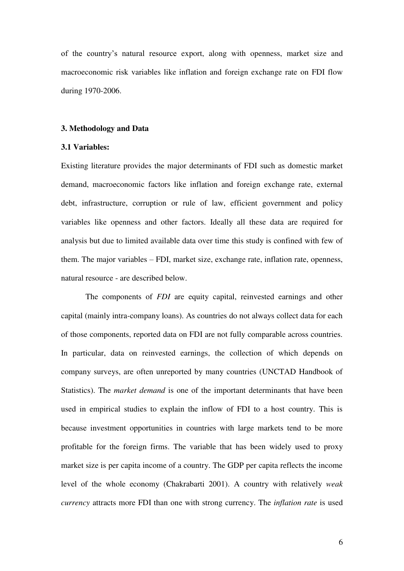of the country's natural resource export, along with openness, market size and macroeconomic risk variables like inflation and foreign exchange rate on FDI flow during 1970-2006.

#### **3. Methodology and Data**

#### **3.1 Variables:**

Existing literature provides the major determinants of FDI such as domestic market demand, macroeconomic factors like inflation and foreign exchange rate, external debt, infrastructure, corruption or rule of law, efficient government and policy variables like openness and other factors. Ideally all these data are required for analysis but due to limited available data over time this study is confined with few of them. The major variables – FDI, market size, exchange rate, inflation rate, openness, natural resource - are described below.

The components of *FDI* are equity capital, reinvested earnings and other capital (mainly intra-company loans). As countries do not always collect data for each of those components, reported data on FDI are not fully comparable across countries. In particular, data on reinvested earnings, the collection of which depends on company surveys, are often unreported by many countries (UNCTAD Handbook of Statistics). The *market demand* is one of the important determinants that have been used in empirical studies to explain the inflow of FDI to a host country. This is because investment opportunities in countries with large markets tend to be more profitable for the foreign firms. The variable that has been widely used to proxy market size is per capita income of a country. The GDP per capita reflects the income level of the whole economy (Chakrabarti 2001). A country with relatively *weak currency* attracts more FDI than one with strong currency. The *inflation rate* is used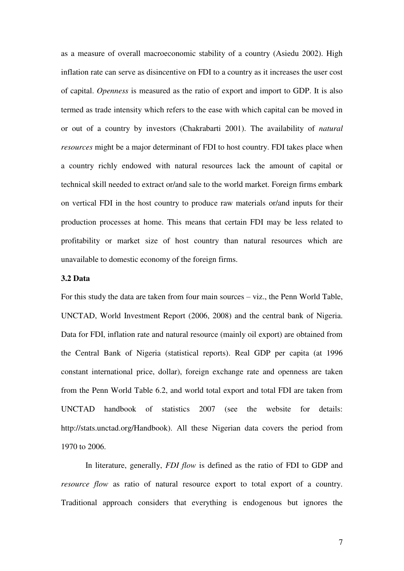as a measure of overall macroeconomic stability of a country (Asiedu 2002). High inflation rate can serve as disincentive on FDI to a country as it increases the user cost of capital. *Openness* is measured as the ratio of export and import to GDP. It is also termed as trade intensity which refers to the ease with which capital can be moved in or out of a country by investors (Chakrabarti 2001). The availability of *natural resources* might be a major determinant of FDI to host country. FDI takes place when a country richly endowed with natural resources lack the amount of capital or technical skill needed to extract or/and sale to the world market. Foreign firms embark on vertical FDI in the host country to produce raw materials or/and inputs for their production processes at home. This means that certain FDI may be less related to profitability or market size of host country than natural resources which are unavailable to domestic economy of the foreign firms.

#### **3.2 Data**

For this study the data are taken from four main sources – viz., the Penn World Table, UNCTAD, World Investment Report (2006, 2008) and the central bank of Nigeria. Data for FDI, inflation rate and natural resource (mainly oil export) are obtained from the Central Bank of Nigeria (statistical reports). Real GDP per capita (at 1996 constant international price, dollar), foreign exchange rate and openness are taken from the Penn World Table 6.2, and world total export and total FDI are taken from UNCTAD handbook of statistics 2007 (see the website for details: http://stats.unctad.org/Handbook). All these Nigerian data covers the period from 1970 to 2006.

In literature, generally, *FDI flow* is defined as the ratio of FDI to GDP and *resource flow* as ratio of natural resource export to total export of a country. Traditional approach considers that everything is endogenous but ignores the

7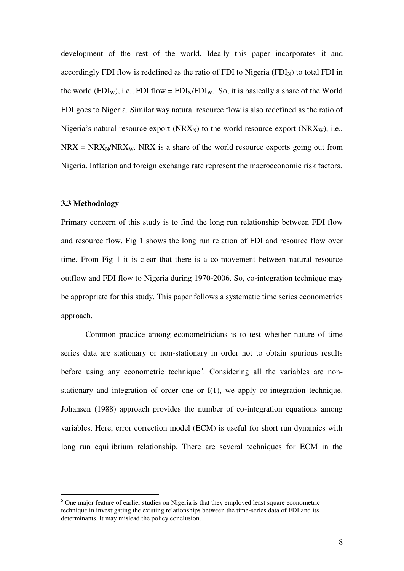development of the rest of the world. Ideally this paper incorporates it and accordingly FDI flow is redefined as the ratio of FDI to Nigeria (FDI $_{\text{N}}$ ) to total FDI in the world (FDI<sub>W</sub>), i.e., FDI flow = FDI<sub>N</sub>/FDI<sub>W</sub>. So, it is basically a share of the World FDI goes to Nigeria. Similar way natural resource flow is also redefined as the ratio of Nigeria's natural resource export ( $NRX_N$ ) to the world resource export ( $NRX_W$ ), i.e.,  $NRX = NRX_N/NRX_W$ . NRX is a share of the world resource exports going out from Nigeria. Inflation and foreign exchange rate represent the macroeconomic risk factors.

#### **3.3 Methodology**

-

Primary concern of this study is to find the long run relationship between FDI flow and resource flow. Fig 1 shows the long run relation of FDI and resource flow over time. From Fig 1 it is clear that there is a co-movement between natural resource outflow and FDI flow to Nigeria during 1970-2006. So, co-integration technique may be appropriate for this study. This paper follows a systematic time series econometrics approach.

Common practice among econometricians is to test whether nature of time series data are stationary or non-stationary in order not to obtain spurious results before using any econometric technique<sup>5</sup>. Considering all the variables are nonstationary and integration of order one or I(1), we apply co-integration technique. Johansen (1988) approach provides the number of co-integration equations among variables. Here, error correction model (ECM) is useful for short run dynamics with long run equilibrium relationship. There are several techniques for ECM in the

<sup>&</sup>lt;sup>5</sup> One major feature of earlier studies on Nigeria is that they employed least square econometric technique in investigating the existing relationships between the time-series data of FDI and its determinants. It may mislead the policy conclusion.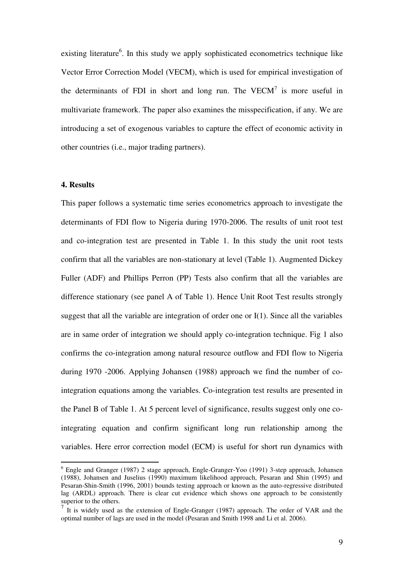existing literature<sup>6</sup>. In this study we apply sophisticated econometrics technique like Vector Error Correction Model (VECM), which is used for empirical investigation of the determinants of FDI in short and long run. The VECM $<sup>7</sup>$  is more useful in</sup> multivariate framework. The paper also examines the misspecification, if any. We are introducing a set of exogenous variables to capture the effect of economic activity in other countries (i.e., major trading partners).

#### **4. Results**

<u>.</u>

This paper follows a systematic time series econometrics approach to investigate the determinants of FDI flow to Nigeria during 1970-2006. The results of unit root test and co-integration test are presented in Table 1. In this study the unit root tests confirm that all the variables are non-stationary at level (Table 1). Augmented Dickey Fuller (ADF) and Phillips Perron (PP) Tests also confirm that all the variables are difference stationary (see panel A of Table 1). Hence Unit Root Test results strongly suggest that all the variable are integration of order one or I(1). Since all the variables are in same order of integration we should apply co-integration technique. Fig 1 also confirms the co-integration among natural resource outflow and FDI flow to Nigeria during 1970 -2006. Applying Johansen (1988) approach we find the number of cointegration equations among the variables. Co-integration test results are presented in the Panel B of Table 1. At 5 percent level of significance, results suggest only one cointegrating equation and confirm significant long run relationship among the variables. Here error correction model (ECM) is useful for short run dynamics with

<sup>&</sup>lt;sup>6</sup> Engle and Granger (1987) 2 stage approach, Engle-Granger-Yoo (1991) 3-step approach, Johansen (1988), Johansen and Juselius (1990) maximum likelihood approach, Pesaran and Shin (1995) and Pesaran-Shin-Smith (1996, 2001) bounds testing approach or known as the auto-regressive distributed lag (ARDL) approach. There is clear cut evidence which shows one approach to be consistently superior to the others.

<sup>7</sup> It is widely used as the extension of Engle-Granger (1987) approach. The order of VAR and the optimal number of lags are used in the model (Pesaran and Smith 1998 and Li et al. 2006).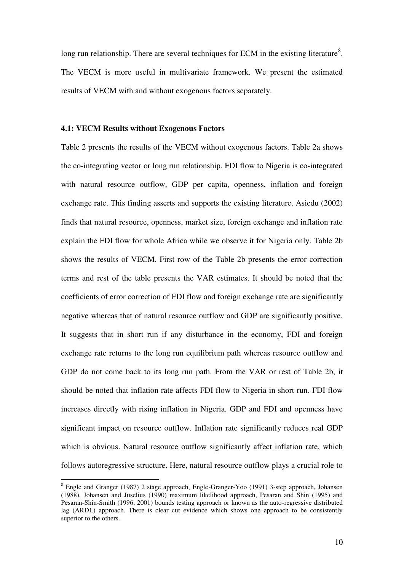long run relationship. There are several techniques for ECM in the existing literature<sup>8</sup>. The VECM is more useful in multivariate framework. We present the estimated results of VECM with and without exogenous factors separately.

#### **4.1: VECM Results without Exogenous Factors**

Table 2 presents the results of the VECM without exogenous factors. Table 2a shows the co-integrating vector or long run relationship. FDI flow to Nigeria is co-integrated with natural resource outflow, GDP per capita, openness, inflation and foreign exchange rate. This finding asserts and supports the existing literature. Asiedu (2002) finds that natural resource, openness, market size, foreign exchange and inflation rate explain the FDI flow for whole Africa while we observe it for Nigeria only. Table 2b shows the results of VECM. First row of the Table 2b presents the error correction terms and rest of the table presents the VAR estimates. It should be noted that the coefficients of error correction of FDI flow and foreign exchange rate are significantly negative whereas that of natural resource outflow and GDP are significantly positive. It suggests that in short run if any disturbance in the economy, FDI and foreign exchange rate returns to the long run equilibrium path whereas resource outflow and GDP do not come back to its long run path. From the VAR or rest of Table 2b, it should be noted that inflation rate affects FDI flow to Nigeria in short run. FDI flow increases directly with rising inflation in Nigeria. GDP and FDI and openness have significant impact on resource outflow. Inflation rate significantly reduces real GDP which is obvious. Natural resource outflow significantly affect inflation rate, which follows autoregressive structure. Here, natural resource outflow plays a crucial role to

-

<sup>&</sup>lt;sup>8</sup> Engle and Granger (1987) 2 stage approach, Engle-Granger-Yoo (1991) 3-step approach, Johansen (1988), Johansen and Juselius (1990) maximum likelihood approach, Pesaran and Shin (1995) and Pesaran-Shin-Smith (1996, 2001) bounds testing approach or known as the auto-regressive distributed lag (ARDL) approach. There is clear cut evidence which shows one approach to be consistently superior to the others.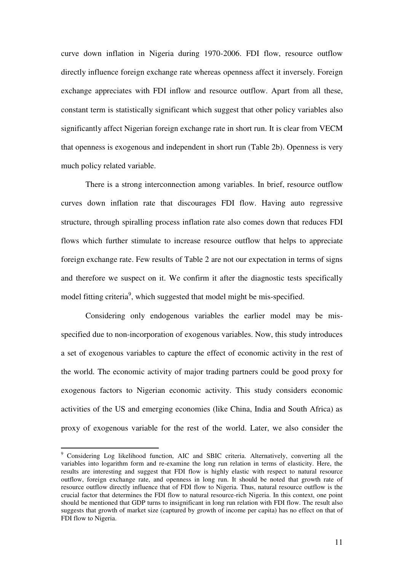curve down inflation in Nigeria during 1970-2006. FDI flow, resource outflow directly influence foreign exchange rate whereas openness affect it inversely. Foreign exchange appreciates with FDI inflow and resource outflow. Apart from all these, constant term is statistically significant which suggest that other policy variables also significantly affect Nigerian foreign exchange rate in short run. It is clear from VECM that openness is exogenous and independent in short run (Table 2b). Openness is very much policy related variable.

There is a strong interconnection among variables. In brief, resource outflow curves down inflation rate that discourages FDI flow. Having auto regressive structure, through spiralling process inflation rate also comes down that reduces FDI flows which further stimulate to increase resource outflow that helps to appreciate foreign exchange rate. Few results of Table 2 are not our expectation in terms of signs and therefore we suspect on it. We confirm it after the diagnostic tests specifically model fitting criteria<sup>9</sup>, which suggested that model might be mis-specified.

Considering only endogenous variables the earlier model may be misspecified due to non-incorporation of exogenous variables. Now, this study introduces a set of exogenous variables to capture the effect of economic activity in the rest of the world. The economic activity of major trading partners could be good proxy for exogenous factors to Nigerian economic activity. This study considers economic activities of the US and emerging economies (like China, India and South Africa) as proxy of exogenous variable for the rest of the world. Later, we also consider the

-

<sup>&</sup>lt;sup>9</sup> Considering Log likelihood function, AIC and SBIC criteria. Alternatively, converting all the variables into logarithm form and re-examine the long run relation in terms of elasticity. Here, the results are interesting and suggest that FDI flow is highly elastic with respect to natural resource outflow, foreign exchange rate, and openness in long run. It should be noted that growth rate of resource outflow directly influence that of FDI flow to Nigeria. Thus, natural resource outflow is the crucial factor that determines the FDI flow to natural resource-rich Nigeria. In this context, one point should be mentioned that GDP turns to insignificant in long run relation with FDI flow. The result also suggests that growth of market size (captured by growth of income per capita) has no effect on that of FDI flow to Nigeria.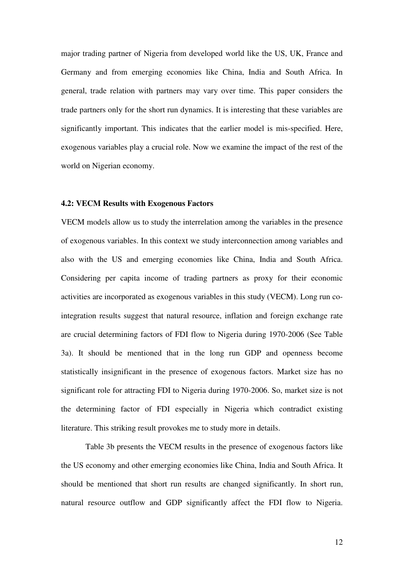major trading partner of Nigeria from developed world like the US, UK, France and Germany and from emerging economies like China, India and South Africa. In general, trade relation with partners may vary over time. This paper considers the trade partners only for the short run dynamics. It is interesting that these variables are significantly important. This indicates that the earlier model is mis-specified. Here, exogenous variables play a crucial role. Now we examine the impact of the rest of the world on Nigerian economy.

#### **4.2: VECM Results with Exogenous Factors**

VECM models allow us to study the interrelation among the variables in the presence of exogenous variables. In this context we study interconnection among variables and also with the US and emerging economies like China, India and South Africa. Considering per capita income of trading partners as proxy for their economic activities are incorporated as exogenous variables in this study (VECM). Long run cointegration results suggest that natural resource, inflation and foreign exchange rate are crucial determining factors of FDI flow to Nigeria during 1970-2006 (See Table 3a). It should be mentioned that in the long run GDP and openness become statistically insignificant in the presence of exogenous factors. Market size has no significant role for attracting FDI to Nigeria during 1970-2006. So, market size is not the determining factor of FDI especially in Nigeria which contradict existing literature. This striking result provokes me to study more in details.

Table 3b presents the VECM results in the presence of exogenous factors like the US economy and other emerging economies like China, India and South Africa. It should be mentioned that short run results are changed significantly. In short run, natural resource outflow and GDP significantly affect the FDI flow to Nigeria.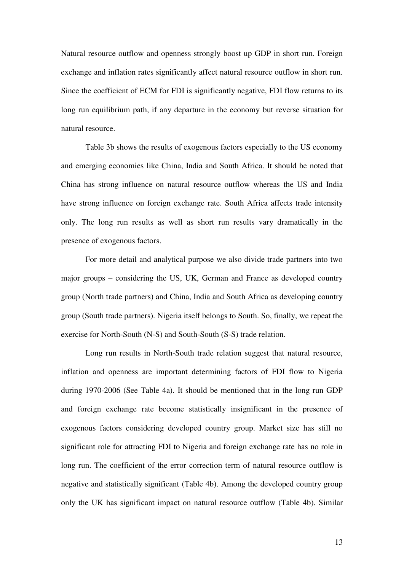Natural resource outflow and openness strongly boost up GDP in short run. Foreign exchange and inflation rates significantly affect natural resource outflow in short run. Since the coefficient of ECM for FDI is significantly negative, FDI flow returns to its long run equilibrium path, if any departure in the economy but reverse situation for natural resource.

Table 3b shows the results of exogenous factors especially to the US economy and emerging economies like China, India and South Africa. It should be noted that China has strong influence on natural resource outflow whereas the US and India have strong influence on foreign exchange rate. South Africa affects trade intensity only. The long run results as well as short run results vary dramatically in the presence of exogenous factors.

For more detail and analytical purpose we also divide trade partners into two major groups – considering the US, UK, German and France as developed country group (North trade partners) and China, India and South Africa as developing country group (South trade partners). Nigeria itself belongs to South. So, finally, we repeat the exercise for North-South (N-S) and South-South (S-S) trade relation.

Long run results in North-South trade relation suggest that natural resource, inflation and openness are important determining factors of FDI flow to Nigeria during 1970-2006 (See Table 4a). It should be mentioned that in the long run GDP and foreign exchange rate become statistically insignificant in the presence of exogenous factors considering developed country group. Market size has still no significant role for attracting FDI to Nigeria and foreign exchange rate has no role in long run. The coefficient of the error correction term of natural resource outflow is negative and statistically significant (Table 4b). Among the developed country group only the UK has significant impact on natural resource outflow (Table 4b). Similar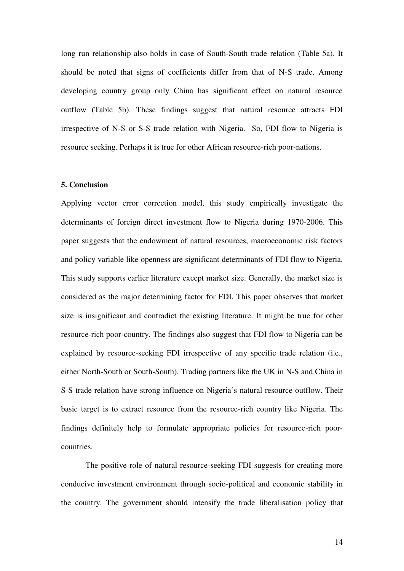long run relationship also holds in case of South-South trade relation (Table 5a). It should be noted that signs of coefficients differ from that of N-S trade. Among developing country group only China has significant effect on natural resource outflow (Table 5b). These findings suggest that natural resource attracts FDI irrespective of N-S or S-S trade relation with Nigeria. So, FDI flow to Nigeria is resource seeking. Perhaps it is true for other African resource-rich poor-nations.

#### **5. Conclusion**

Applying vector error correction model, this study empirically investigate the determinants of foreign direct investment flow to Nigeria during 1970-2006. This paper suggests that the endowment of natural resources, macroeconomic risk factors and policy variable like openness are significant determinants of FDI flow to Nigeria. This study supports earlier literature except market size. Generally, the market size is considered as the major determining factor for FDI. This paper observes that market size is insignificant and contradict the existing literature. It might be true for other resource-rich poor-country. The findings also suggest that FDI flow to Nigeria can be explained by resource-seeking FDI irrespective of any specific trade relation (i.e., either North-South or South-South). Trading partners like the UK in N-S and China in S-S trade relation have strong influence on Nigeria's natural resource outflow. Their basic target is to extract resource from the resource-rich country like Nigeria. The findings definitely help to formulate appropriate policies for resource-rich poorcountries.

The positive role of natural resource-seeking FDI suggests for creating more conducive investment environment through socio-political and economic stability in the country. The government should intensify the trade liberalisation policy that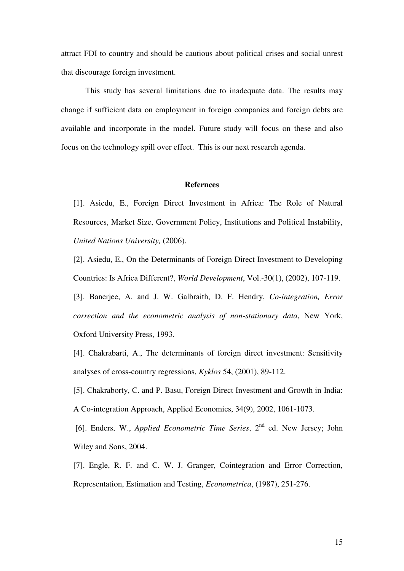attract FDI to country and should be cautious about political crises and social unrest that discourage foreign investment.

This study has several limitations due to inadequate data. The results may change if sufficient data on employment in foreign companies and foreign debts are available and incorporate in the model. Future study will focus on these and also focus on the technology spill over effect. This is our next research agenda.

#### **Refernces**

[1]. Asiedu, E., Foreign Direct Investment in Africa: The Role of Natural Resources, Market Size, Government Policy, Institutions and Political Instability, *United Nations University,* (2006).

[2]. Asiedu, E., On the Determinants of Foreign Direct Investment to Developing Countries: Is Africa Different?, *World Development*, Vol.-30(1), (2002), 107-119.

[3]. Banerjee, A. and J. W. Galbraith, D. F. Hendry, *Co-integration, Error correction and the econometric analysis of non-stationary data*, New York, Oxford University Press, 1993.

[4]. Chakrabarti, A., The determinants of foreign direct investment: Sensitivity analyses of cross-country regressions, *Kyklos* 54, (2001), 89-112.

[5]. Chakraborty, C. and P. Basu, Foreign Direct Investment and Growth in India: A Co-integration Approach, Applied Economics, 34(9), 2002, 1061-1073.

[6]. Enders, W., *Applied Econometric Time Series*, 2<sup>nd</sup> ed. New Jersey; John Wiley and Sons, 2004.

[7]. Engle, R. F. and C. W. J. Granger, Cointegration and Error Correction, Representation, Estimation and Testing, *Econometrica*, (1987), 251-276.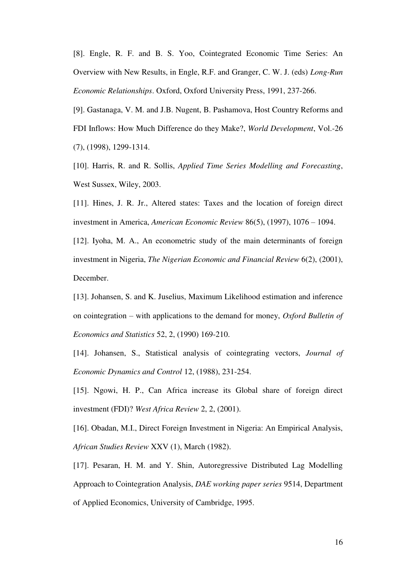[8]. Engle, R. F. and B. S. Yoo, Cointegrated Economic Time Series: An Overview with New Results, in Engle, R.F. and Granger, C. W. J. (eds) *Long-Run Economic Relationships*. Oxford, Oxford University Press, 1991, 237-266.

[9]. Gastanaga, V. M. and J.B. Nugent, B. Pashamova, Host Country Reforms and FDI Inflows: How Much Difference do they Make?, *World Development*, Vol.-26 (7), (1998), 1299-1314.

[10]. Harris, R. and R. Sollis, *Applied Time Series Modelling and Forecasting*, West Sussex, Wiley, 2003.

[11]. Hines, J. R. Jr., Altered states: Taxes and the location of foreign direct investment in America, *American Economic Review* 86(5), (1997), 1076 – 1094.

[12]. Iyoha, M. A., An econometric study of the main determinants of foreign investment in Nigeria, *The Nigerian Economic and Financial Review* 6(2), (2001), December.

[13]. Johansen, S. and K. Juselius, Maximum Likelihood estimation and inference on cointegration – with applications to the demand for money, *Oxford Bulletin of Economics and Statistics* 52, 2, (1990) 169-210.

[14]. Johansen, S., Statistical analysis of cointegrating vectors, *Journal of Economic Dynamics and Control* 12, (1988), 231-254.

[15]. Ngowi, H. P., Can Africa increase its Global share of foreign direct investment (FDI)? *West Africa Review* 2, 2, (2001).

[16]. Obadan, M.I., Direct Foreign Investment in Nigeria: An Empirical Analysis, *African Studies Review* XXV (1), March (1982).

[17]. Pesaran, H. M. and Y. Shin, Autoregressive Distributed Lag Modelling Approach to Cointegration Analysis, *DAE working paper series* 9514, Department of Applied Economics, University of Cambridge, 1995.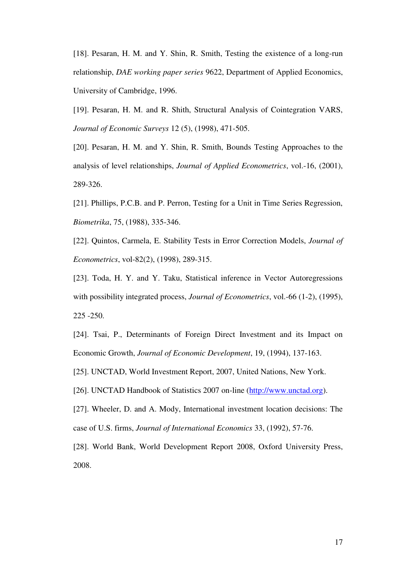[18]. Pesaran, H. M. and Y. Shin, R. Smith, Testing the existence of a long-run relationship, *DAE working paper series* 9622, Department of Applied Economics, University of Cambridge, 1996.

[19]. Pesaran, H. M. and R. Shith, Structural Analysis of Cointegration VARS, *Journal of Economic Surveys* 12 (5), (1998), 471-505.

[20]. Pesaran, H. M. and Y. Shin, R. Smith, Bounds Testing Approaches to the analysis of level relationships, *Journal of Applied Econometrics*, vol.-16, (2001), 289-326.

[21]. Phillips, P.C.B. and P. Perron, Testing for a Unit in Time Series Regression, *Biometrika*, 75, (1988), 335-346.

[22]. Quintos, Carmela, E. Stability Tests in Error Correction Models, *Journal of Econometrics*, vol-82(2), (1998), 289-315.

[23]. Toda, H. Y. and Y. Taku, Statistical inference in Vector Autoregressions with possibility integrated process, *Journal of Econometrics*, vol.-66 (1-2), (1995), 225 -250.

[24]. Tsai, P., Determinants of Foreign Direct Investment and its Impact on Economic Growth, *Journal of Economic Development*, 19, (1994), 137-163.

[25]. UNCTAD, World Investment Report, 2007, United Nations, New York.

[26]. UNCTAD Handbook of Statistics 2007 on-line [\(http://www.unctad.org\)](http://www.unctad.org/).

[27]. Wheeler, D. and A. Mody, International investment location decisions: The case of U.S. firms, *Journal of International Economics* 33, (1992), 57-76.

[28]. World Bank, World Development Report 2008, Oxford University Press, 2008.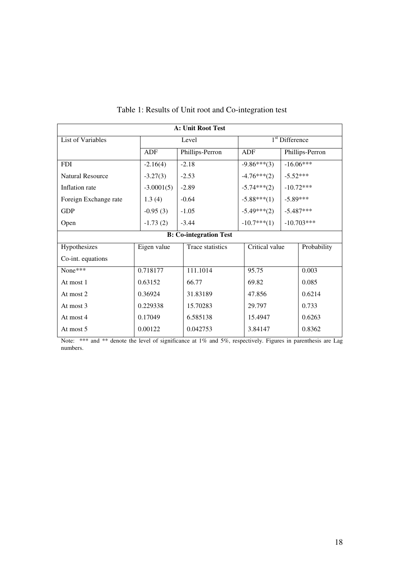| <b>A: Unit Root Test</b> |              |                               |                |                             |                 |  |  |  |
|--------------------------|--------------|-------------------------------|----------------|-----------------------------|-----------------|--|--|--|
| List of Variables        |              | Level                         |                | 1 <sup>st</sup> Difference  |                 |  |  |  |
|                          | ADF          | Phillips-Perron               |                |                             | Phillips-Perron |  |  |  |
| <b>FDI</b>               | $-2.16(4)$   | $-2.18$                       | $-9.86***(3)$  |                             | $-16.06***$     |  |  |  |
| <b>Natural Resource</b>  | $-3.27(3)$   | $-2.53$                       | $-4.76***(2)$  | $-5.52***$                  |                 |  |  |  |
| Inflation rate           | $-3.0001(5)$ | $-2.89$                       | $-5.74***(2)$  |                             | $-10.72***$     |  |  |  |
| Foreign Exchange rate    | 1.3(4)       | $-0.64$                       |                | $-5.88***(1)$<br>$-5.89***$ |                 |  |  |  |
| <b>GDP</b>               | $-0.95(3)$   | $-1.05$                       |                |                             | $-5.487***$     |  |  |  |
| Open                     | $-1.73(2)$   | $-3.44$                       |                |                             | $-10.703***$    |  |  |  |
|                          |              | <b>B:</b> Co-integration Test |                |                             |                 |  |  |  |
| Hypothesizes             | Eigen value  | Trace statistics              | Critical value |                             | Probability     |  |  |  |
| Co-int. equations        |              |                               |                |                             |                 |  |  |  |
| None***                  | 0.718177     | 111.1014                      | 95.75          |                             | 0.003           |  |  |  |
| At most 1                | 0.63152      | 66.77                         | 69.82          |                             | 0.085           |  |  |  |
| At most 2                | 0.36924      | 31.83189                      | 47.856         |                             | 0.6214          |  |  |  |
| At most 3                | 0.229338     | 15.70283                      | 29.797         |                             | 0.733           |  |  |  |
| At most 4                | 0.17049      | 6.585138                      | 15.4947        |                             | 0.6263          |  |  |  |
| At most 5                | 0.00122      | 0.042753                      | 3.84147        |                             | 0.8362          |  |  |  |

## Table 1: Results of Unit root and Co-integration test

Note: \*\*\* and \*\* denote the level of significance at 1% and 5%, respectively. Figures in parenthesis are Lag numbers.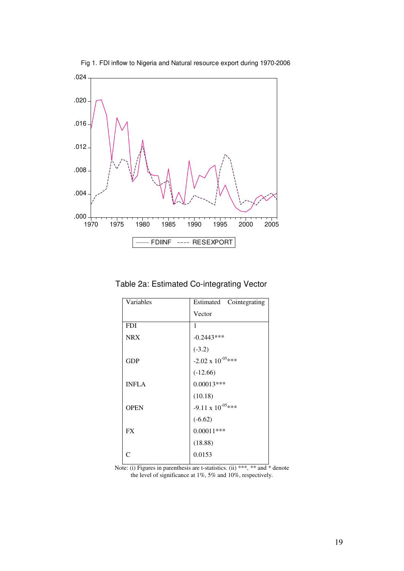

Fig 1. FDI inflow to Nigeria and Natural resource export during 1970-2006

Table 2a: Estimated Co-integrating Vector

| Variables    | Estimated Cointegrating     |
|--------------|-----------------------------|
|              | Vector                      |
| <b>FDI</b>   | 1                           |
| <b>NRX</b>   | $-0.2443***$                |
|              | $(-3.2)$                    |
| <b>GDP</b>   | $-2.02 \times 10^{-05}$ *** |
|              | $(-12.66)$                  |
| <b>INFLA</b> | $0.00013***$                |
|              | (10.18)                     |
| <b>OPEN</b>  | $-9.11 \times 10^{-05}$ *** |
|              | $(-6.62)$                   |
| <b>FX</b>    | $0.00011***$                |
|              | (18.88)                     |
| C            | 0.0153                      |
|              |                             |

Note: (i) Figures in parenthesis are t-statistics. (ii) \*\*\*, \*\* and \* denote the level of significance at 1%, 5% and 10%, respectively.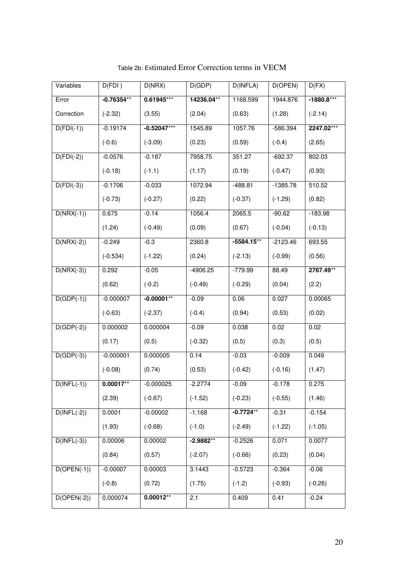| Variables               | D(FDI)       | D(NRX)        | D(GDP)      | D(INFLA)     | D(OPEN)    | D(FX)        |
|-------------------------|--------------|---------------|-------------|--------------|------------|--------------|
| Error                   | $-0.76354**$ | $0.61945***$  | 14236.04**  | 1168.599     | 1944.876   | $-1880.8***$ |
| Correction              | $(-2.32)$    | (3.55)        | (2.04)      | (0.63)       | (1.28)     | $(-2.14)$    |
| $D(FDI(-1))$            | $-0.19174$   | $-0.52047***$ | 1545.89     | 1057.76      | $-586.394$ | 2247.02***   |
|                         | $(-0.6)$     | $(-3.09)$     | (0.23)      | (0.59)       | $(-0.4)$   | (2.65)       |
| $D(FDI(-2))$            | $-0.0576$    | $-0.187$      | 7958.75     | 351.27       | $-692.37$  | 802.03       |
|                         | $(-0.18)$    | $(-1.1)$      | (1.17)      | (0.19)       | $(-0.47)$  | (0.93)       |
| $D(\overline{FDI(-3)})$ | $-0.1706$    | $-0.033$      | 1072.94     | $-488.81$    | $-1385.78$ | 510.52       |
|                         | $(-0.73)$    | $(-0.27)$     | (0.22)      | $(-0.37)$    | $(-1.29)$  | (0.82)       |
| $D(NRX(-1))$            | 0.675        | $-0.14$       | 1056.4      | 2065.5       | $-90.62$   | $-183.98$    |
|                         | (1.24)       | $(-0.49)$     | (0.09)      | (0.67)       | $(-0.04)$  | $(-0.13)$    |
| $D(NRX(-2))$            | $-0.249$     | $-0.3$        | 2360.8      | $-5584.15**$ | $-2123.46$ | 693.55       |
|                         | $(-0.534)$   | $(-1.22)$     | (0.24)      | $(-2.13)$    | $(-0.99)$  | (0.56)       |
| $D(NRX(-3))$            | 0.292        | $-0.05$       | $-4906.25$  | $-779.99$    | 88.49      | 2767.49**    |
|                         | (0.62)       | $(-0.2)$      | $(-0.49)$   | $(-0.29)$    | (0.04)     | (2.2)        |
| $D(GDP(-1))$            | $-0.000007$  | $-0.00001**$  | $-0.09$     | 0.06         | 0.027      | 0.00065      |
|                         | $(-0.63)$    | $(-2.37)$     | $(-0.4)$    | (0.94)       | (0.53)     | (0.02)       |
| $D(GDP(-2))$            | 0.000002     | 0.000004      | $-0.09$     | 0.038        | 0.02       | 0.02         |
|                         | (0.17)       | (0.5)         | $(-0.32)$   | (0.5)        | (0.3)      | (0.5)        |
| $D(GDP(-3))$            | $-0.000001$  | 0.000005      | 0.14        | $-0.03$      | $-0.009$   | 0.049        |
|                         | $(-0.08)$    | (0.74)        | (0.53)      | $(-0.42)$    | $(-0.16)$  | (1.47)       |
| $D(INFL(-1))$           | $0.00017***$ | $-0.000025$   | $-2.2774$   | $-0.09$      | $-0.178$   | 0.275        |
|                         | (2.39)       | $(-0.67)$     | $(-1.52)$   | $(-0.23)$    | $(-0.55)$  | (1.46)       |
| $D(INFL(-2))$           | 0.0001       | $-0.00002$    | $-1.168$    | $-0.7724**$  | $-0.31$    | $-0.154$     |
|                         | (1.93)       | $(-0.68)$     | $(-1.0)$    | $(-2.49)$    | $(-1.22)$  | $(-1.05)$    |
| $D(INFL(-3))$           | 0.00006      | 0.00002       | $-2.9882**$ | $-0.2526$    | 0.071      | 0.0077       |
|                         | (0.84)       | (0.57)        | $(-2.07)$   | $(-0.66)$    | (0.23)     | (0.04)       |
| $D(OPEN(-1))$           | $-0.00007$   | 0.00003       | 3.1443      | $-0.5723$    | $-0.364$   | $-0.06$      |
|                         | $(-0.8)$     | (0.72)        | (1.75)      | $(-1.2)$     | $(-0.93)$  | $(-0.26)$    |
| $D(OPEN(-2))$           | 0.000074     | $0.00012**$   | 2.1         | 0.409        | 0.41       | $-0.24$      |

Table 2b: Estimated Error Correction terms in VECM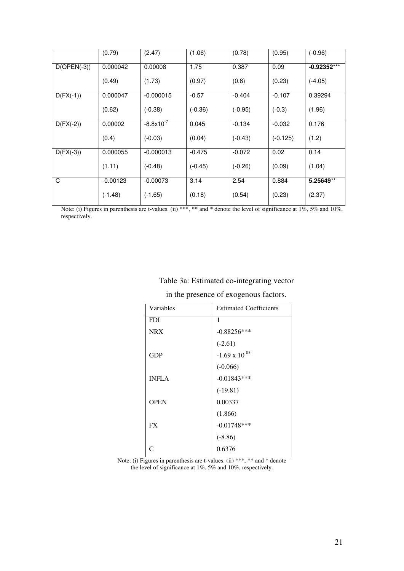|               | (0.79)     | (2.47)              | (1.06)    | (0.78)    | (0.95)     | $(-0.96)$     |
|---------------|------------|---------------------|-----------|-----------|------------|---------------|
| $D(OPEN(-3))$ | 0.000042   | 0.00008             | 1.75      | 0.387     | 0.09       | $-0.92352***$ |
|               | (0.49)     | (1.73)              | (0.97)    | (0.8)     | (0.23)     | $(-4.05)$     |
| $D(FX(-1))$   | 0.000047   | $-0.000015$         | $-0.57$   | $-0.404$  | $-0.107$   | 0.39294       |
|               | (0.62)     | $(-0.38)$           | $(-0.36)$ | $(-0.95)$ | $(-0.3)$   | (1.96)        |
| $D(FX(-2))$   | 0.00002    | $-8.8\times10^{-7}$ | 0.045     | $-0.134$  | $-0.032$   | 0.176         |
|               | (0.4)      | $(-0.03)$           | (0.04)    | $(-0.43)$ | $(-0.125)$ | (1.2)         |
| $D(FX(-3))$   | 0.000055   | $-0.000013$         | $-0.475$  | $-0.072$  | 0.02       | 0.14          |
|               | (1.11)     | $(-0.48)$           | $(-0.45)$ | $(-0.26)$ | (0.09)     | (1.04)        |
| C             | $-0.00123$ | $-0.00073$          | 3.14      | 2.54      | 0.884      | 5.25649**     |
|               | $(-1.48)$  | $(-1.65)$           | (0.18)    | (0.54)    | (0.23)     | (2.37)        |

Note: (i) Figures in parenthesis are t-values. (ii) \*\*\*, \*\* and \* denote the level of significance at 1%, 5% and 10%, respectively.

## Table 3a: Estimated co-integrating vector

in the presence of exogenous factors.

| Variables    | <b>Estimated Coefficients</b> |
|--------------|-------------------------------|
| <b>FDI</b>   | 1                             |
| <b>NRX</b>   | $-0.88256***$                 |
|              | $(-2.61)$                     |
| GDP          | $-1.69 \times 10^{-05}$       |
|              | $(-0.066)$                    |
| <b>INFLA</b> | $-0.01843***$                 |
|              | $(-19.81)$                    |
| <b>OPEN</b>  | 0.00337                       |
|              | (1.866)                       |
| <b>FX</b>    | $-0.01748***$                 |
|              | $(-8.86)$                     |
|              | 0.6376                        |
|              |                               |

Note: (i) Figures in parenthesis are t-values. (ii) \*\*\*, \*\* and \* denote the level of significance at 1%, 5% and 10%, respectively.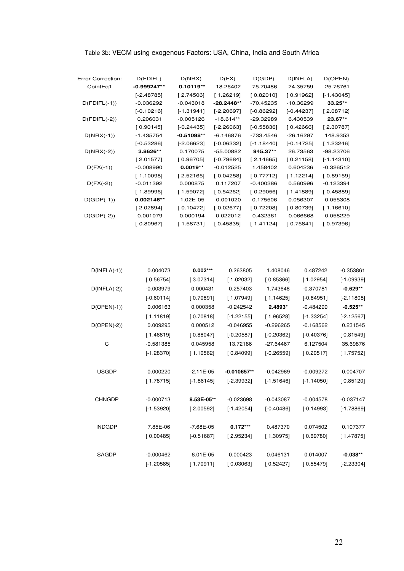| Table 3b: VECM using exogenous Factors: USA, China, India and South Africa |  |  |  |
|----------------------------------------------------------------------------|--|--|--|
|                                                                            |  |  |  |

| Error Correction: | D(FDIFL)      | D(NRX)       | D(FX)        | D(GDP)       | $D($ INFLA $)$ | D(OPEN)      |
|-------------------|---------------|--------------|--------------|--------------|----------------|--------------|
| CointEq1          | $-0.999247**$ | $0.10119**$  | 18.26402     | 75.70486     | 24.35759       | $-25.76761$  |
|                   | $[-2.48785]$  | [2.74506]    | [1.26219]    | [0.82010]    | [0.91962]      | $[-1.43045]$ |
| $D(FDIFF(-1))$    | $-0.036292$   | $-0.043018$  | -28.2448**   | $-70.45235$  | -10.36299      | $33.25**$    |
|                   | $[-0.10216]$  | $[-1.31941]$ | $[-2.20697]$ | $[-0.86292]$ | $[-0.44237]$   | [2.08712]    |
| $D(FDIFF(-2))$    | 0.206031      | $-0.005126$  | $-18.614**$  | -29.32989    | 6.430539       | 23.67**      |
|                   | [0.90145]     | $[-0.24435]$ | $[-2.26063]$ | $[-0.55836]$ | [0.42666]      | [2.30787]    |
| $D(NRX(-1))$      | $-1.435754$   | $-0.51098**$ | $-6.146876$  | -733.4546    | -26.16297      | 148.9353     |
|                   | $[-0.53286]$  | $[-2.06623]$ | $[-0.06332]$ | $[-1.18440]$ | $[-0.14725]$   | [1.23246]    |
| $D(NRX(-2))$      | 3.8626**      | 0.170075     | -55.00882    | 945.37**     | 26.73563       | -98.23706    |
|                   | [2.01577]     | [0.96705]    | $[-0.79684]$ | [2.14665]    | [0.21158]      | $[-1.14310]$ |
| $D(FX(-1))$       | $-0.008990$   | $0.0019**$   | $-0.012525$  | 1.458402     | 0.604236       | $-0.326512$  |
|                   | $[-1.10098]$  | [2.52165]    | $[-0.04258]$ | [0.77712]    | [1.12214]      | $[-0.89159]$ |
| $D(FX(-2))$       | $-0.011392$   | 0.000875     | 0.117207     | $-0.400386$  | 0.560996       | $-0.123394$  |
|                   | $[-1.89996]$  | [1.59072]    | [0.54262]    | $[-0.29056]$ | [1.41889]      | $[-0.45889]$ |
| $D(GDP(-1))$      | 0.002146**    | $-1.02E-05$  | $-0.001020$  | 0.175506     | 0.056307       | $-0.055308$  |
|                   | [2.02894]     | $[-0.10472]$ | $[-0.02677]$ | [0.72208]    | [0.80739]      | $[-1.16610]$ |
| $D(GDP(-2))$      | $-0.001079$   | $-0.000194$  | 0.022012     | $-0.432361$  | $-0.066668$    | $-0.058229$  |
|                   | $[-0.80967]$  | $[-1.58731]$ | [0.45835]    | $[-1.41124]$ | $[-0.75841]$   | $[-0.97396]$ |

| $D(INFLA(-1))$ | 0.004073     | $0.002***$    | 0.263805      | 1.408046     | 0.487242     | $-0.353861$  |
|----------------|--------------|---------------|---------------|--------------|--------------|--------------|
|                | [0.56754]    | [3.07314]     | [1.02032]     | [0.85366]    | [1.02954]    | $[-1.09939]$ |
| $D(INFLA(-2))$ | $-0.003979$  | 0.000431      | 0.257403      | 1.743648     | $-0.370781$  | $-0.629**$   |
|                | $[-0.60114]$ | [0.70891]     | [1.07949]     | [1.14625]    | $[-0.84951]$ | $[-2.11808]$ |
| $D(OPEN(-1))$  | 0.006163     | 0.000358      | $-0.242542$   | 2.4893*      | $-0.484299$  | $-0.525**$   |
|                | [1.11819]    | [0.70818]     | $[-1.22155]$  | [1.96528]    | $[-1.33254]$ | $[-2.12567]$ |
| $D(OPEN(-2))$  | 0.009295     | 0.000512      | $-0.046955$   | $-0.296265$  | $-0.168562$  | 0.231545     |
|                | [1.46819]    | [0.88047]     | $[-0.20587]$  | $[-0.20362]$ | $[-0.40376]$ | [0.81549]    |
| C              | $-0.581385$  | 0.045958      | 13.72186      | $-27.64467$  | 6.127504     | 35.69876     |
|                | $[-1.28370]$ | [1.10562]     | [0.84099]     | $[-0.26559]$ | [0.20517]    | [1.75752]    |
| <b>USGDP</b>   | 0.000220     | $-2.11E-05$   | $-0.010657**$ | $-0.042969$  | $-0.009272$  | 0.004707     |
|                |              |               |               |              |              |              |
|                | [1.78715]    | $[-1.86145]$  | $[-2.39932]$  | $[-1.51646]$ | $[-1.14050]$ | [0.85120]    |
| <b>CHNGDP</b>  | $-0.000713$  | 8.53E-05**    | $-0.023698$   | $-0.043087$  | $-0.004578$  | $-0.037147$  |
|                | $[-1.53920]$ | [2.00592]     | $[-1.42054]$  | $[-0.40486]$ | $[-0.14993]$ | $[-1.78869]$ |
|                |              |               |               |              |              |              |
| <b>INDGDP</b>  | 7.85E-06     | $-7.68E - 05$ | $0.172***$    | 0.487370     | 0.074502     | 0.107377     |
|                | [0.00485]    | $[-0.51687]$  | [2.95234]     | [1.30975]    | [0.69780]    | [1.47875]    |
| <b>SAGDP</b>   | $-0.000462$  | 6.01E-05      | 0.000423      | 0.046131     | 0.014007     | $-0.038**$   |
|                | $[-1.20585]$ | [1.70911]     | [0.03063]     | [0.52427]    | 0.55479      | $[-2.23304]$ |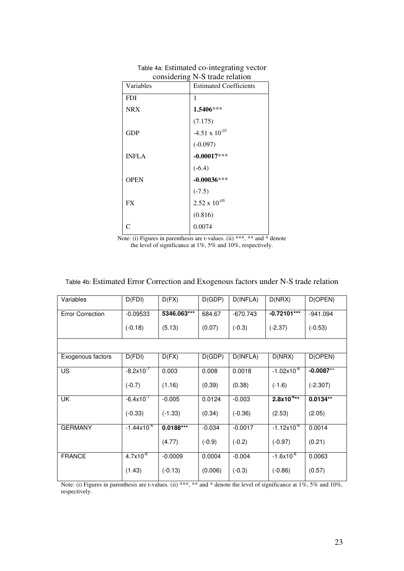| ு∽<br>Variables | <b>Estimated Coefficients</b> |
|-----------------|-------------------------------|
| <b>FDI</b>      | 1                             |
| <b>NRX</b>      | $1.5406***$                   |
|                 | (7.175)                       |
| <b>GDP</b>      | -4.51 x $10^{-07}$            |
|                 | $(-0.097)$                    |
| <b>INFLA</b>    | $-0.00017***$                 |
|                 | $(-6.4)$                      |
| <b>OPEN</b>     | $-0.00036***$                 |
|                 | $(-7.5)$                      |
| <b>FX</b>       | $2.52 \times 10^{-05}$        |
|                 | (0.816)                       |
| $\subset$       | 0.0074                        |

Table 4a: Estimated co-integrating vector considering N-S trade relation

Note: (i) Figures in parenthesis are t-values. (ii) \*\*\*, \*\* and \* denote the level of significance at 1%, 5% and 10%, respectively.

| Variables               | D(FDI)                | D(FX)       | D(GDP)   | D(INFLA)   | D(NRX)                 | D(OPEN)      |
|-------------------------|-----------------------|-------------|----------|------------|------------------------|--------------|
| <b>Error Correction</b> | $-0.09533$            | 5346.063*** | 684.67   | $-670.743$ | $-0.72101***$          | $-941.094$   |
|                         | $(-0.18)$             | (5.13)      | (0.07)   | $(-0.3)$   | $(-2.37)$              | $(-0.53)$    |
|                         |                       |             |          |            |                        |              |
| Exogenous factors       | D(FDI)                | D(FX)       | D(GDP)   | D(INFLA)   | D(NRX)                 | D(OPEN)      |
| US.                     | $-8.2x10^{-7}$        | 0.003       | 0.008    | 0.0018     | $-1.02\times10^{-6}$   | $-0.0087***$ |
|                         | $(-0.7)$              | (1.16)      | (0.39)   | (0.38)     | $(-1.6)$               | $(-2.307)$   |
| UK                      | $-6.4 \times 10^{-7}$ | $-0.005$    | 0.0124   | $-0.003$   | $2.8x10^{-6**}$        | $0.0134**$   |
|                         | $(-0.33)$             | $(-1.33)$   | (0.34)   | $(-0.36)$  | (2.53)                 | (2.05)       |
| <b>GERMANY</b>          | $-1.44x10^{-6}$       | $0.0188***$ | $-0.034$ | $-0.0017$  | $-1.12 \times 10^{-6}$ | 0.0014       |
|                         |                       | (4.77)      | $(-0.9)$ | $(-0.2)$   | $(-0.97)$              | (0.21)       |
| <b>FRANCE</b>           | $4.7x10^{6}$          | $-0.0009$   | 0.0004   | $-0.004$   | $-1.6x10^{-6}$         | 0.0063       |
|                         | (1.43)                | $(-0.13)$   | (0.006)  | $(-0.3)$   | $(-0.86)$              | (0.57)       |

## Table 4b: Estimated Error Correction and Exogenous factors under N-S trade relation

Note: (i) Figures in parenthesis are t-values. (ii) \*\*\*, \*\* and \* denote the level of significance at 1%, 5% and 10%, respectively.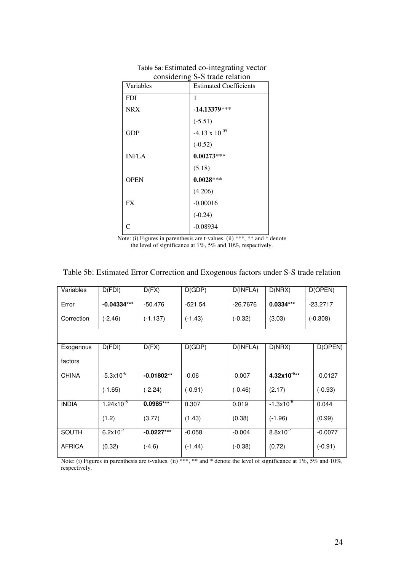| Variables    | <b>Estimated Coefficients</b> |
|--------------|-------------------------------|
| <b>FDI</b>   | 1                             |
| <b>NRX</b>   | $-14.13379***$                |
|              | $(-5.51)$                     |
| <b>GDP</b>   | $-4.13 \times 10^{-05}$       |
|              | $(-0.52)$                     |
| <b>INFLA</b> | $0.00273***$                  |
|              | (5.18)                        |
| <b>OPEN</b>  | $0.0028***$                   |
|              | (4.206)                       |
| <b>FX</b>    | $-0.00016$                    |
|              | $(-0.24)$                     |
| C            | $-0.08934$                    |

Table 5a: Estimated co-integrating vector considering S-S trade relation

Note: (i) Figures in parenthesis are t-values. (ii) \*\*\*, \*\* and \* denote the level of significance at 1%, 5% and 10%, respectively.

| Variables     | D(FDI)                | D(FX)        | D(GDP)    | D(INFLA)   | D(NRX)           | D(OPEN)    |
|---------------|-----------------------|--------------|-----------|------------|------------------|------------|
| Error         | $-0.04334***$         | $-50.476$    | $-521.54$ | $-26.7676$ | $0.0334***$      | $-23.2717$ |
| Correction    | $(-2.46)$             | $(-1.137)$   | $(-1.43)$ | $(-0.32)$  | (3.03)           | $(-0.308)$ |
|               |                       |              |           |            |                  |            |
| Exogenous     | D(FDI)                | D(FX)        | D(GDP)    | D(INFLA)   | D(NRX)           | D(OPEN)    |
| factors       |                       |              |           |            |                  |            |
| <b>CHINA</b>  | $-5.3 \times 10^{-6}$ | $-0.01802**$ | $-0.06$   | $-0.007$   | $4.32x10^{-6**}$ | $-0.0127$  |
|               | $(-1.65)$             | $(-2.24)$    | $(-0.91)$ | $(-0.46)$  | (2.17)           | $(-0.93)$  |
| <b>INDIA</b>  | $1.24 \times 10^{-5}$ | 0.0985***    | 0.307     | 0.019      | $-1.3x10^{-5}$   | 0.044      |
|               | (1.2)                 | (3.77)       | (1.43)    | (0.38)     | $(-1.96)$        | (0.99)     |
| <b>SOUTH</b>  | $6.2x10^{-7}$         | $-0.0227***$ | $-0.058$  | $-0.004$   | $8.8x10^{-7}$    | $-0.0077$  |
| <b>AFRICA</b> | (0.32)                | $(-4.6)$     | $(-1.44)$ | $(-0.38)$  | (0.72)           | $(-0.91)$  |

Table 5b: Estimated Error Correction and Exogenous factors under S-S trade relation

Note: (i) Figures in parenthesis are t-values. (ii) \*\*\*, \*\* and \* denote the level of significance at  $1\%$ ,  $5\%$  and  $10\%$ , respectively.